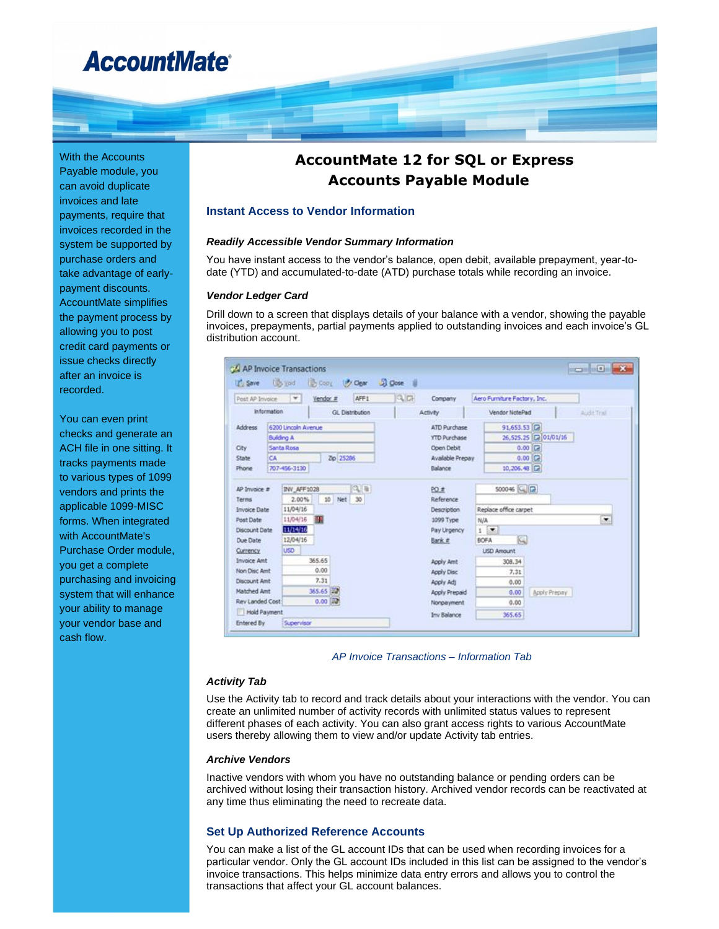# **AccountMate®**

With the Accounts Payable module, you can avoid duplicate invoices and late payments, require that invoices recorded in the system be supported by purchase orders and take advantage of earlypayment discounts. AccountMate simplifies the payment process by allowing you to post credit card payments or issue checks directly after an invoice is recorded.

You can even print checks and generate an ACH file in one sitting. It tracks payments made to various types of 1099 vendors and prints the applicable 1099-MISC forms. When integrated with AccountMate's Purchase Order module, you get a complete purchasing and invoicing system that will enhance your ability to manage your vendor base and cash flow.

# **AccountMate 12 for SQL or Express Accounts Payable Module**

#### **Instant Access to Vendor Information**

#### *Readily Accessible Vendor Summary Information*

You have instant access to the vendor's balance, open debit, available prepayment, year-todate (YTD) and accumulated-to-date (ATD) purchase totals while recording an invoice.

#### *Vendor Ledger Card*

Drill down to a screen that displays details of your balance with a vendor, showing the payable invoices, prepayments, partial payments applied to outstanding invoices and each invoice's GL distribution account.

| IT's Save                                    | Libs you                        | <b>UD</b> Copy      | (P) Opar            | <b>JJ</b> Close<br>- 18              |               |                    |                              |              |  |
|----------------------------------------------|---------------------------------|---------------------|---------------------|--------------------------------------|---------------|--------------------|------------------------------|--------------|--|
| Post AP Invoice                              | ۳                               | Vendor #            | AFF1                | $Q_{\rm eff}$                        | Company       |                    | Aero Furniture Factory, Inc. |              |  |
| <b>Information</b><br><b>GL</b> Distribution |                                 |                     | <b>Activity</b>     |                                      |               | Vendor NotePad     |                              | Audit Trail  |  |
| Address                                      |                                 | 6200 Lincoln Avenue |                     | ATD Purchase                         |               |                    | 91,653.53                    |              |  |
|                                              | <b>Building A</b>               |                     | <b>YTD Purchase</b> |                                      |               | 26,525.25 20101/16 |                              |              |  |
| City                                         | Santa Rosa                      |                     |                     | Open Debit                           |               |                    | Е<br>0.00                    |              |  |
| State                                        | CA                              |                     | Zip 25286           | Available Prepay                     |               |                    |                              | 0.00         |  |
| Phone                                        | 707-456-3130                    |                     |                     | Balance                              |               |                    | 10, 206. 48 $\Box$           |              |  |
|                                              |                                 |                     |                     |                                      |               |                    |                              |              |  |
| AP Invoice #                                 | $Q_{\rm eff}$<br>INV AFF 1028   |                     | PO #                |                                      |               | 500046 G B         |                              |              |  |
| Terms                                        | 2.00%<br>10<br>Net<br>30        |                     | Reference           |                                      |               |                    |                              |              |  |
|                                              | 11/04/16<br><b>Invoice Date</b> |                     |                     | Replace office carpet<br>Description |               |                    |                              |              |  |
| Post Date                                    | 11/04/16<br>鼺                   |                     | 1099 Type           |                                      | N/A           | ۰                  |                              |              |  |
|                                              | 11/14/16<br>Discount Date       |                     | Pay Urgency         |                                      | 1             | ×.                 |                              |              |  |
| Due Date                                     | 12/04/16                        |                     |                     | Bank #                               |               | K.<br><b>BOFA</b>  |                              |              |  |
| Currency.                                    | <b>USD</b>                      |                     |                     |                                      |               |                    | <b>LISD Amount</b>           |              |  |
| <b>Invoice Amt</b>                           |                                 | 365.65              |                     |                                      | Apply Amt     |                    | 308.34                       |              |  |
| Non Disc Amt                                 |                                 | 0.00                |                     | Apply Disc                           |               |                    | 7.31                         |              |  |
| <b>Discount Amt</b>                          |                                 | 7.31                |                     | Apply Ads                            |               |                    | 0.00                         |              |  |
| Matched Amt                                  |                                 | 365.65 822          |                     |                                      | Apply Prepaid |                    | 0.00                         | Apply Prepay |  |
| Rev Landed Cost                              |                                 | 0.00                |                     |                                      | Nonpayment    |                    | 0.00                         |              |  |
| Hold Payment                                 |                                 |                     |                     |                                      | Inv Balance   | 365.65             |                              |              |  |
| <b>Entered By</b>                            | Supervisor                      |                     |                     |                                      |               |                    |                              |              |  |

*AP Invoice Transactions – Information Tab*

#### *Activity Tab*

Use the Activity tab to record and track details about your interactions with the vendor. You can create an unlimited number of activity records with unlimited status values to represent different phases of each activity. You can also grant access rights to various AccountMate users thereby allowing them to view and/or update Activity tab entries.

#### *Archive Vendors*

Inactive vendors with whom you have no outstanding balance or pending orders can be archived without losing their transaction history. Archived vendor records can be reactivated at any time thus eliminating the need to recreate data.

#### **Set Up Authorized Reference Accounts**

You can make a list of the GL account IDs that can be used when recording invoices for a particular vendor. Only the GL account IDs included in this list can be assigned to the vendor's invoice transactions. This helps minimize data entry errors and allows you to control the transactions that affect your GL account balances.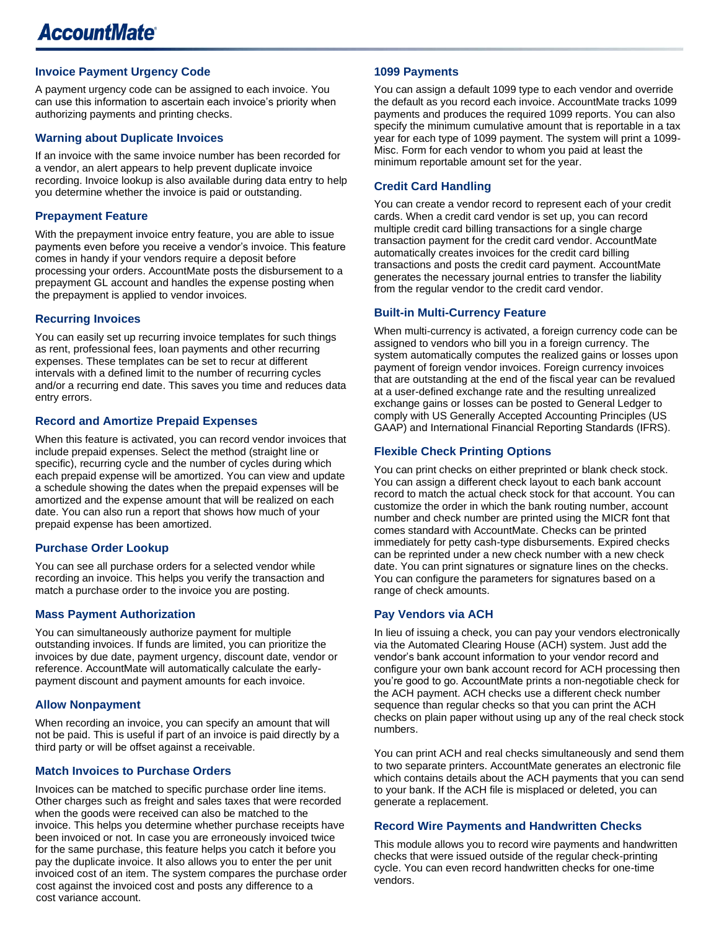# **Invoice Payment Urgency Code**

A payment urgency code can be assigned to each invoice. You can use this information to ascertain each invoice's priority when authorizing payments and printing checks.

#### **Warning about Duplicate Invoices**

If an invoice with the same invoice number has been recorded for a vendor, an alert appears to help prevent duplicate invoice recording. Invoice lookup is also available during data entry to help you determine whether the invoice is paid or outstanding.

### **Prepayment Feature**

With the prepayment invoice entry feature, you are able to issue payments even before you receive a vendor's invoice. This feature comes in handy if your vendors require a deposit before processing your orders. AccountMate posts the disbursement to a prepayment GL account and handles the expense posting when the prepayment is applied to vendor invoices.

#### **Recurring Invoices**

You can easily set up recurring invoice templates for such things as rent, professional fees, loan payments and other recurring expenses. These templates can be set to recur at different intervals with a defined limit to the number of recurring cycles and/or a recurring end date. This saves you time and reduces data entry errors.

#### **Record and Amortize Prepaid Expenses**

When this feature is activated, you can record vendor invoices that include prepaid expenses. Select the method (straight line or specific), recurring cycle and the number of cycles during which each prepaid expense will be amortized. You can view and update a schedule showing the dates when the prepaid expenses will be amortized and the expense amount that will be realized on each date. You can also run a report that shows how much of your prepaid expense has been amortized.

#### **Purchase Order Lookup**

You can see all purchase orders for a selected vendor while recording an invoice. This helps you verify the transaction and match a purchase order to the invoice you are posting.

#### **Mass Payment Authorization**

You can simultaneously authorize payment for multiple outstanding invoices. If funds are limited, you can prioritize the invoices by due date, payment urgency, discount date, vendor or reference. AccountMate will automatically calculate the earlypayment discount and payment amounts for each invoice.

#### **Allow Nonpayment**

When recording an invoice, you can specify an amount that will not be paid. This is useful if part of an invoice is paid directly by a third party or will be offset against a receivable.

#### **Match Invoices to Purchase Orders**

Invoices can be matched to specific purchase order line items. Other charges such as freight and sales taxes that were recorded when the goods were received can also be matched to the invoice. This helps you determine whether purchase receipts have been invoiced or not. In case you are erroneously invoiced twice for the same purchase, this feature helps you catch it before you pay the duplicate invoice. It also allows you to enter the per unit invoiced cost of an item. The system compares the purchase order cost against the invoiced cost and posts any difference to a cost variance account.

#### **1099 Payments**

You can assign a default 1099 type to each vendor and override the default as you record each invoice. AccountMate tracks 1099 payments and produces the required 1099 reports. You can also specify the minimum cumulative amount that is reportable in a tax year for each type of 1099 payment. The system will print a 1099- Misc. Form for each vendor to whom you paid at least the minimum reportable amount set for the year.

### **Credit Card Handling**

You can create a vendor record to represent each of your credit cards. When a credit card vendor is set up, you can record multiple credit card billing transactions for a single charge transaction payment for the credit card vendor. AccountMate automatically creates invoices for the credit card billing transactions and posts the credit card payment. AccountMate generates the necessary journal entries to transfer the liability from the regular vendor to the credit card vendor.

#### **Built-in Multi-Currency Feature**

When multi-currency is activated, a foreign currency code can be assigned to vendors who bill you in a foreign currency. The system automatically computes the realized gains or losses upon payment of foreign vendor invoices. Foreign currency invoices that are outstanding at the end of the fiscal year can be revalued at a user-defined exchange rate and the resulting unrealized exchange gains or losses can be posted to General Ledger to comply with US Generally Accepted Accounting Principles (US GAAP) and International Financial Reporting Standards (IFRS).

# **Flexible Check Printing Options**

You can print checks on either preprinted or blank check stock. You can assign a different check layout to each bank account record to match the actual check stock for that account. You can customize the order in which the bank routing number, account number and check number are printed using the MICR font that comes standard with AccountMate. Checks can be printed immediately for petty cash-type disbursements. Expired checks can be reprinted under a new check number with a new check date. You can print signatures or signature lines on the checks. You can configure the parameters for signatures based on a range of check amounts.

#### **Pay Vendors via ACH**

In lieu of issuing a check, you can pay your vendors electronically via the Automated Clearing House (ACH) system. Just add the vendor's bank account information to your vendor record and configure your own bank account record for ACH processing then you're good to go. AccountMate prints a non-negotiable check for the ACH payment. ACH checks use a different check number sequence than regular checks so that you can print the ACH checks on plain paper without using up any of the real check stock numbers.

You can print ACH and real checks simultaneously and send them to two separate printers. AccountMate generates an electronic file which contains details about the ACH payments that you can send to your bank. If the ACH file is misplaced or deleted, you can generate a replacement.

#### **Record Wire Payments and Handwritten Checks**

This module allows you to record wire payments and handwritten checks that were issued outside of the regular check-printing cycle. You can even record handwritten checks for one-time vendors.